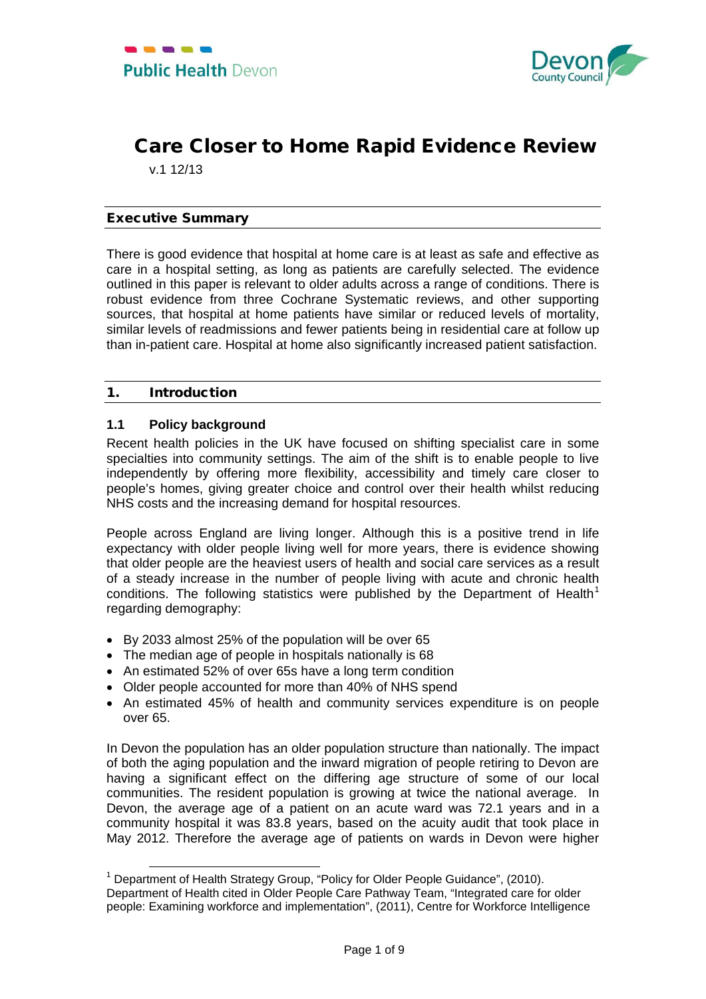

# Care Closer to Home Rapid Evidence Review

v.1 12/13

# Executive Summary

There is good evidence that hospital at home care is at least as safe and effective as care in a hospital setting, as long as patients are carefully selected. The evidence outlined in this paper is relevant to older adults across a range of conditions. There is robust evidence from three Cochrane Systematic reviews, and other supporting sources, that hospital at home patients have similar or reduced levels of mortality, similar levels of readmissions and fewer patients being in residential care at follow up than in-patient care. Hospital at home also significantly increased patient satisfaction.

## 1. Introduction

# **1.1 Policy background**

Recent health policies in the UK have focused on shifting specialist care in some specialties into community settings. The aim of the shift is to enable people to live independently by offering more flexibility, accessibility and timely care closer to people's homes, giving greater choice and control over their health whilst reducing NHS costs and the increasing demand for hospital resources.

People across England are living longer. Although this is a positive trend in life expectancy with older people living well for more years, there is evidence showing that older people are the heaviest users of health and social care services as a result of a steady increase in the number of people living with acute and chronic health conditions. The following statistics were published by the Department of Health<sup>[1](#page-0-0)</sup> regarding demography:

- By 2033 almost 25% of the population will be over 65
- The median age of people in hospitals nationally is 68
- An estimated 52% of over 65s have a long term condition
- Older people accounted for more than 40% of NHS spend
- An estimated 45% of health and community services expenditure is on people over 65.

In Devon the population has an older population structure than nationally. The impact of both the aging population and the inward migration of people retiring to Devon are having a significant effect on the differing age structure of some of our local communities. The resident population is growing at twice the national average. In Devon, the average age of a patient on an acute ward was 72.1 years and in a community hospital it was 83.8 years, based on the acuity audit that took place in May 2012. Therefore the average age of patients on wards in Devon were higher

<span id="page-0-1"></span><span id="page-0-0"></span><sup>&</sup>lt;sup>1</sup> Department of Health Strategy Group, "Policy for Older People Guidance", (2010). Department of Health cited in Older People Care Pathway Team, "Integrated care for older people: Examining workforce and implementation", (2011), Centre for Workforce Intelligence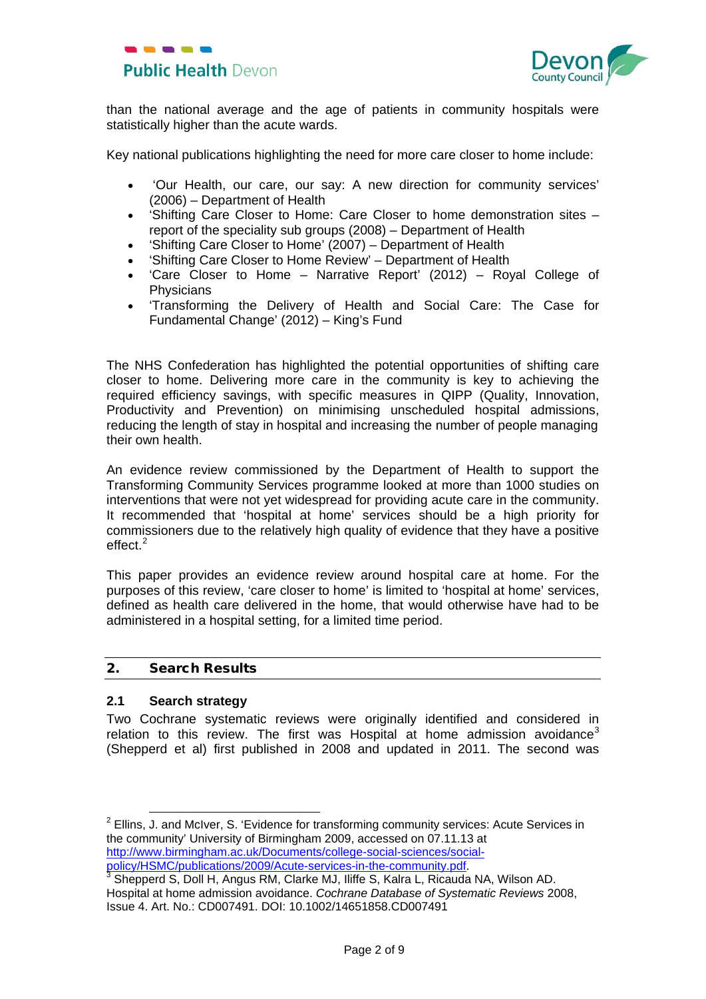



than the national average and the age of patients in community hospitals were statistically higher than the acute wards.

Key national publications highlighting the need for more care closer to home include:

- 'Our Health, our care, our say: A new direction for community services' (2006) – Department of Health
- 'Shifting Care Closer to Home: Care Closer to home demonstration sites report of the speciality sub groups (2008) – Department of Health
- 'Shifting Care Closer to Home' (2007) Department of Health
- 'Shifting Care Closer to Home Review' Department of Health
- 'Care Closer to Home Narrative Report' (2012) Royal College of **Physicians**
- 'Transforming the Delivery of Health and Social Care: The Case for Fundamental Change' (2012) – King's Fund

The NHS Confederation has highlighted the potential opportunities of shifting care closer to home. Delivering more care in the community is key to achieving the required efficiency savings, with specific measures in QIPP (Quality, Innovation, Productivity and Prevention) on minimising unscheduled hospital admissions, reducing the length of stay in hospital and increasing the number of people managing their own health.

An evidence review commissioned by the Department of Health to support the Transforming Community Services programme looked at more than 1000 studies on interventions that were not yet widespread for providing acute care in the community. It recommended that 'hospital at home' services should be a high priority for commissioners due to the relatively high quality of evidence that they have a positive effect.<sup>[2](#page-0-1)</sup>

This paper provides an evidence review around hospital care at home. For the purposes of this review, 'care closer to home' is limited to 'hospital at home' services, defined as health care delivered in the home, that would otherwise have had to be administered in a hospital setting, for a limited time period.

## 2. Search Results

#### **2.1 Search strategy**

<span id="page-1-1"></span>Two Cochrane systematic reviews were originally identified and considered in relation to this review. The first was Hospital at home admission avoidance<sup>[3](#page-1-0)</sup> (Shepperd et al) first published in 2008 and updated in 2011. The second was

 $2$  Ellins. J. and McIver, S. 'Evidence for transforming community services: Acute Services in the community' University of Birmingham 2009, accessed on 07.11.13 at [http://www.birmingham.ac.uk/Documents/college-social-sciences/social](http://www.birmingham.ac.uk/Documents/college-social-sciences/social-policy/HSMC/publications/2009/Acute-services-in-the-community.pdf)[policy/HSMC/publications/2009/Acute-services-in-the-community.pdf.](http://www.birmingham.ac.uk/Documents/college-social-sciences/social-policy/HSMC/publications/2009/Acute-services-in-the-community.pdf) <sup>3</sup> Shepperd S, Doll H, Angus RM, Clarke MJ, Iliffe S, Kalra L, Ricauda NA, Wilson AD.

<span id="page-1-0"></span>Hospital at home admission avoidance. *Cochrane Database of Systematic Reviews* 2008, Issue 4. Art. No.: CD007491. DOI: 10.1002/14651858.CD007491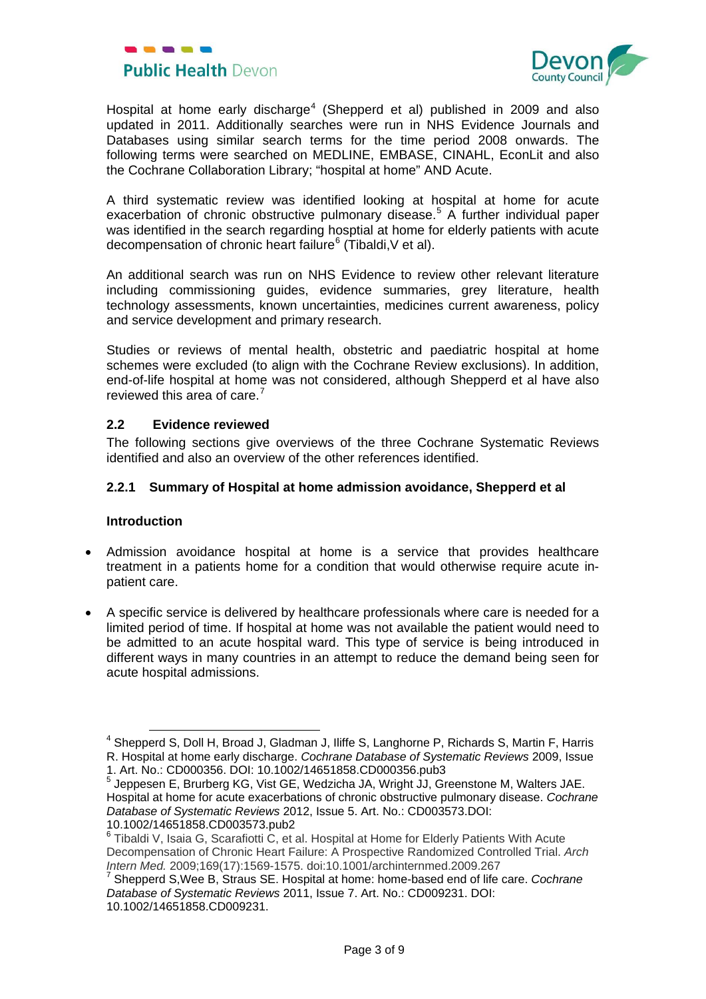



Hospital at home early discharge<sup>[4](#page-1-1)</sup> (Shepperd et al) published in 2009 and also updated in 2011. Additionally searches were run in NHS Evidence Journals and Databases using similar search terms for the time period 2008 onwards. The following terms were searched on MEDLINE, EMBASE, CINAHL, EconLit and also the Cochrane Collaboration Library; "hospital at home" AND Acute.

A third systematic review was identified looking at hospital at home for acute exacerbation of chronic obstructive pulmonary disease. [5](#page-2-0) A further individual paper was identified in the search regarding hosptial at home for elderly patients with acute decompensation of chronic heart failure<sup>[6](#page-2-1)</sup> (Tibaldi, V et al).

An additional search was run on NHS Evidence to review other relevant literature including commissioning guides, evidence summaries, grey literature, health technology assessments, known uncertainties, medicines current awareness, policy and service development and primary research.

Studies or reviews of mental health, obstetric and paediatric hospital at home schemes were excluded (to align with the Cochrane Review exclusions). In addition, end-of-life hospital at home was not considered, although Shepperd et al have also reviewed this area of care.<sup>[7](#page-2-2)</sup>

# **2.2 Evidence reviewed**

The following sections give overviews of the three Cochrane Systematic Reviews identified and also an overview of the other references identified.

## **2.2.1 Summary of Hospital at home admission avoidance, Shepperd et al**

#### **Introduction**

- Admission avoidance hospital at home is a service that provides healthcare treatment in a patients home for a condition that would otherwise require acute inpatient care.
- A specific service is delivered by healthcare professionals where care is needed for a limited period of time. If hospital at home was not available the patient would need to be admitted to an acute hospital ward. This type of service is being introduced in different ways in many countries in an attempt to reduce the demand being seen for acute hospital admissions.

<sup>&</sup>lt;sup>4</sup> Shepperd S, Doll H, Broad J, Gladman J, Iliffe S, Langhorne P, Richards S, Martin F, Harris R. Hospital at home early discharge. *Cochrane Database of Systematic Reviews* 2009, Issue 1. Art. No.: CD000356. DOI: 10.1002/14651858.CD000356.pub3

<span id="page-2-0"></span> $^5$  Jeppesen E, Brurberg KG, Vist GE, Wedzicha JA, Wright JJ, Greenstone M, Walters JAE. Hospital at home for acute exacerbations of chronic obstructive pulmonary disease. *Cochrane Database of Systematic Reviews* 2012, Issue 5. Art. No.: CD003573.DOI: 10.1002/14651858.CD003573.pub2

<span id="page-2-1"></span><sup>&</sup>lt;sup>6</sup> Tibaldi V, Isaia G, Scarafiotti C, et al. Hospital at Home for Elderly Patients With Acute Decompensation of Chronic Heart Failure: A Prospective Randomized Controlled Trial. *Arch*

<span id="page-2-2"></span><sup>&</sup>lt;sup>7</sup> Shepperd S, Wee B, Straus SE. Hospital at home: home-based end of life care. *Cochrane Database of Systematic Reviews* 2011, Issue 7. Art. No.: CD009231. DOI: 10.1002/14651858.CD009231.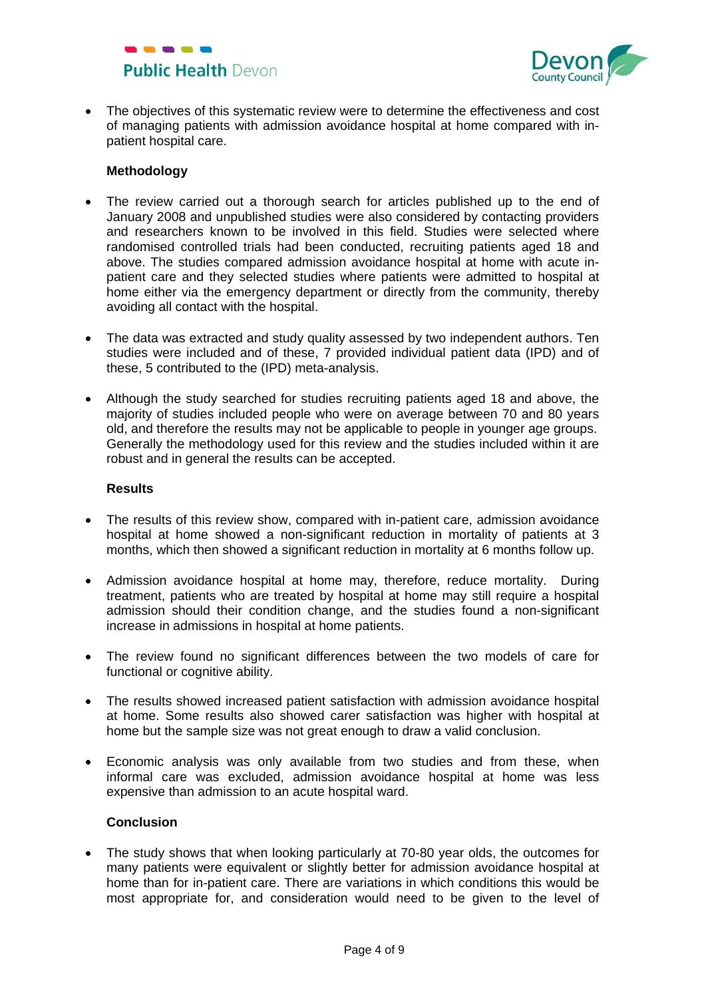



• The objectives of this systematic review were to determine the effectiveness and cost of managing patients with admission avoidance hospital at home compared with inpatient hospital care.

## **Methodology**

- The review carried out a thorough search for articles published up to the end of January 2008 and unpublished studies were also considered by contacting providers and researchers known to be involved in this field. Studies were selected where randomised controlled trials had been conducted, recruiting patients aged 18 and above. The studies compared admission avoidance hospital at home with acute inpatient care and they selected studies where patients were admitted to hospital at home either via the emergency department or directly from the community, thereby avoiding all contact with the hospital.
- The data was extracted and study quality assessed by two independent authors. Ten studies were included and of these, 7 provided individual patient data (IPD) and of these, 5 contributed to the (IPD) meta-analysis.
- Although the study searched for studies recruiting patients aged 18 and above, the majority of studies included people who were on average between 70 and 80 years old, and therefore the results may not be applicable to people in younger age groups. Generally the methodology used for this review and the studies included within it are robust and in general the results can be accepted.

#### **Results**

- The results of this review show, compared with in-patient care, admission avoidance hospital at home showed a non-significant reduction in mortality of patients at 3 months, which then showed a significant reduction in mortality at 6 months follow up.
- Admission avoidance hospital at home may, therefore, reduce mortality. During treatment, patients who are treated by hospital at home may still require a hospital admission should their condition change, and the studies found a non-significant increase in admissions in hospital at home patients.
- The review found no significant differences between the two models of care for functional or cognitive ability.
- The results showed increased patient satisfaction with admission avoidance hospital at home. Some results also showed carer satisfaction was higher with hospital at home but the sample size was not great enough to draw a valid conclusion.
- Economic analysis was only available from two studies and from these, when informal care was excluded, admission avoidance hospital at home was less expensive than admission to an acute hospital ward.

#### **Conclusion**

• The study shows that when looking particularly at 70-80 year olds, the outcomes for many patients were equivalent or slightly better for admission avoidance hospital at home than for in-patient care. There are variations in which conditions this would be most appropriate for, and consideration would need to be given to the level of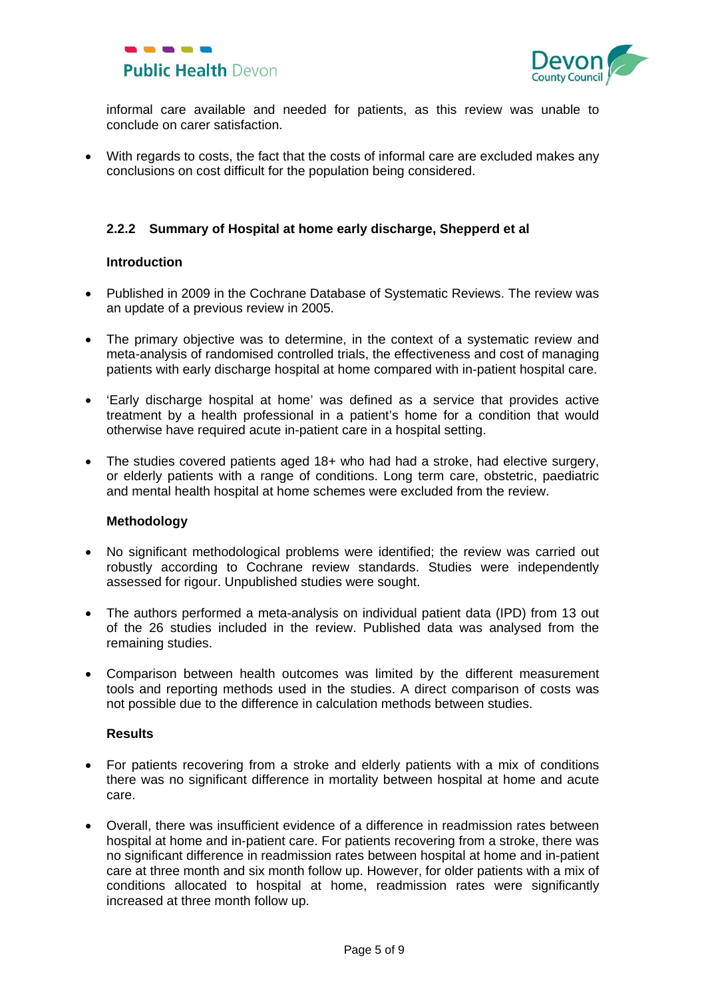



informal care available and needed for patients, as this review was unable to conclude on carer satisfaction.

• With regards to costs, the fact that the costs of informal care are excluded makes any conclusions on cost difficult for the population being considered.

# **2.2.2 Summary of Hospital at home early discharge, Shepperd et al**

#### **Introduction**

- Published in 2009 in the Cochrane Database of Systematic Reviews. The review was an update of a previous review in 2005.
- The primary objective was to determine, in the context of a systematic review and meta-analysis of randomised controlled trials, the effectiveness and cost of managing patients with early discharge hospital at home compared with in-patient hospital care.
- 'Early discharge hospital at home' was defined as a service that provides active treatment by a health professional in a patient's home for a condition that would otherwise have required acute in-patient care in a hospital setting.
- The studies covered patients aged 18+ who had had a stroke, had elective surgery, or elderly patients with a range of conditions. Long term care, obstetric, paediatric and mental health hospital at home schemes were excluded from the review.

#### **Methodology**

- No significant methodological problems were identified; the review was carried out robustly according to Cochrane review standards. Studies were independently assessed for rigour. Unpublished studies were sought.
- The authors performed a meta-analysis on individual patient data (IPD) from 13 out of the 26 studies included in the review. Published data was analysed from the remaining studies.
- Comparison between health outcomes was limited by the different measurement tools and reporting methods used in the studies. A direct comparison of costs was not possible due to the difference in calculation methods between studies.

## **Results**

- For patients recovering from a stroke and elderly patients with a mix of conditions there was no significant difference in mortality between hospital at home and acute care.
- Overall, there was insufficient evidence of a difference in readmission rates between hospital at home and in-patient care. For patients recovering from a stroke, there was no significant difference in readmission rates between hospital at home and in-patient care at three month and six month follow up. However, for older patients with a mix of conditions allocated to hospital at home, readmission rates were significantly increased at three month follow up.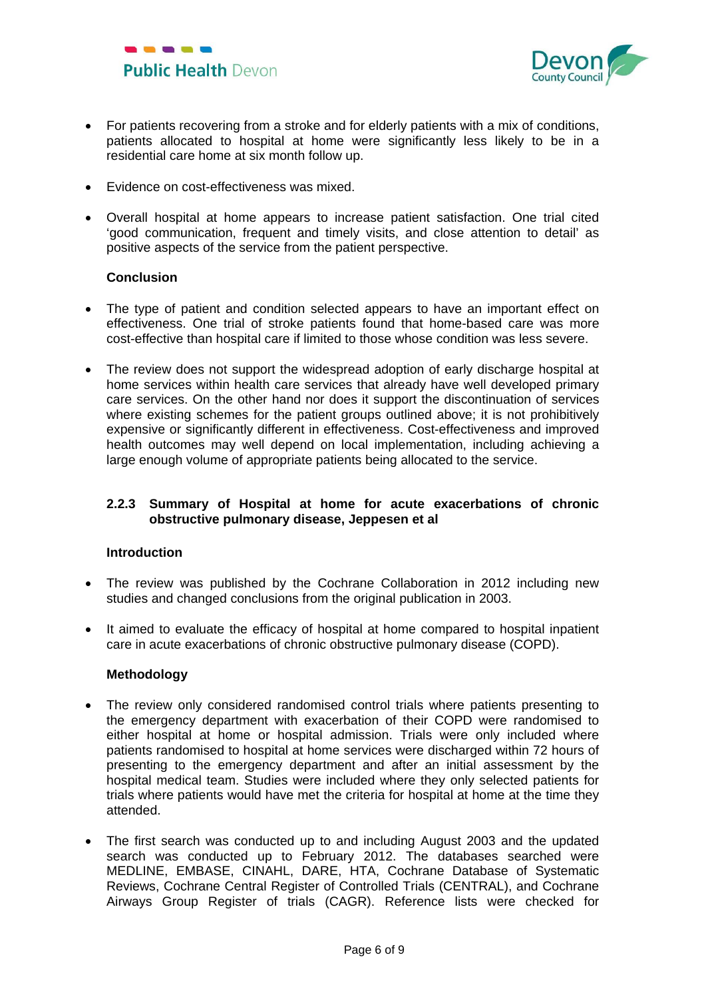



- For patients recovering from a stroke and for elderly patients with a mix of conditions, patients allocated to hospital at home were significantly less likely to be in a residential care home at six month follow up.
- Evidence on cost-effectiveness was mixed.
- Overall hospital at home appears to increase patient satisfaction. One trial cited 'good communication, frequent and timely visits, and close attention to detail' as positive aspects of the service from the patient perspective.

#### **Conclusion**

- The type of patient and condition selected appears to have an important effect on effectiveness. One trial of stroke patients found that home-based care was more cost-effective than hospital care if limited to those whose condition was less severe.
- The review does not support the widespread adoption of early discharge hospital at home services within health care services that already have well developed primary care services. On the other hand nor does it support the discontinuation of services where existing schemes for the patient groups outlined above; it is not prohibitively expensive or significantly different in effectiveness. Cost-effectiveness and improved health outcomes may well depend on local implementation, including achieving a large enough volume of appropriate patients being allocated to the service.

## **2.2.3 Summary of Hospital at home for acute exacerbations of chronic obstructive pulmonary disease, Jeppesen et al**

## **Introduction**

- The review was published by the Cochrane Collaboration in 2012 including new studies and changed conclusions from the original publication in 2003.
- It aimed to evaluate the efficacy of hospital at home compared to hospital inpatient care in acute exacerbations of chronic obstructive pulmonary disease (COPD).

#### **Methodology**

- The review only considered randomised control trials where patients presenting to the emergency department with exacerbation of their COPD were randomised to either hospital at home or hospital admission. Trials were only included where patients randomised to hospital at home services were discharged within 72 hours of presenting to the emergency department and after an initial assessment by the hospital medical team. Studies were included where they only selected patients for trials where patients would have met the criteria for hospital at home at the time they attended.
- The first search was conducted up to and including August 2003 and the updated search was conducted up to February 2012. The databases searched were MEDLINE, EMBASE, CINAHL, DARE, HTA, Cochrane Database of Systematic Reviews, Cochrane Central Register of Controlled Trials (CENTRAL), and Cochrane Airways Group Register of trials (CAGR). Reference lists were checked for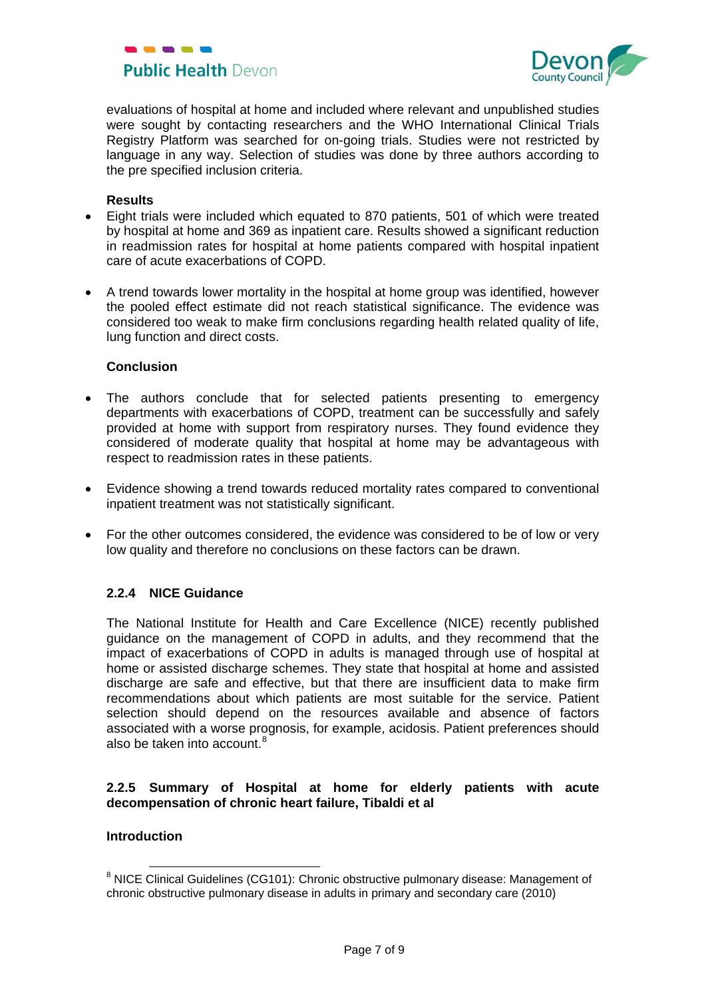



evaluations of hospital at home and included where relevant and unpublished studies were sought by contacting researchers and the WHO International Clinical Trials Registry Platform was searched for on-going trials. Studies were not restricted by language in any way. Selection of studies was done by three authors according to the pre specified inclusion criteria.

#### **Results**

- Eight trials were included which equated to 870 patients, 501 of which were treated by hospital at home and 369 as inpatient care. Results showed a significant reduction in readmission rates for hospital at home patients compared with hospital inpatient care of acute exacerbations of COPD.
- A trend towards lower mortality in the hospital at home group was identified, however the pooled effect estimate did not reach statistical significance. The evidence was considered too weak to make firm conclusions regarding health related quality of life, lung function and direct costs.

## **Conclusion**

- The authors conclude that for selected patients presenting to emergency departments with exacerbations of COPD, treatment can be successfully and safely provided at home with support from respiratory nurses. They found evidence they considered of moderate quality that hospital at home may be advantageous with respect to readmission rates in these patients.
- Evidence showing a trend towards reduced mortality rates compared to conventional inpatient treatment was not statistically significant.
- For the other outcomes considered, the evidence was considered to be of low or very low quality and therefore no conclusions on these factors can be drawn.

# **2.2.4 NICE Guidance**

The National Institute for Health and Care Excellence (NICE) recently published guidance on the management of COPD in adults, and they recommend that the impact of exacerbations of COPD in adults is managed through use of hospital at home or assisted discharge schemes. They state that hospital at home and assisted discharge are safe and effective, but that there are insufficient data to make firm recommendations about which patients are most suitable for the service. Patient selection should depend on the resources available and absence of factors associated with a worse prognosis, for example, acidosis. Patient preferences should also be taken into account. $8$ 

## **2.2.5 Summary of Hospital at home for elderly patients with acute decompensation of chronic heart failure, Tibaldi et al**

#### **Introduction**

<sup>&</sup>lt;sup>8</sup> NICE Clinical Guidelines (CG101): Chronic obstructive pulmonary disease: Management of chronic obstructive pulmonary disease in adults in primary and secondary care (2010)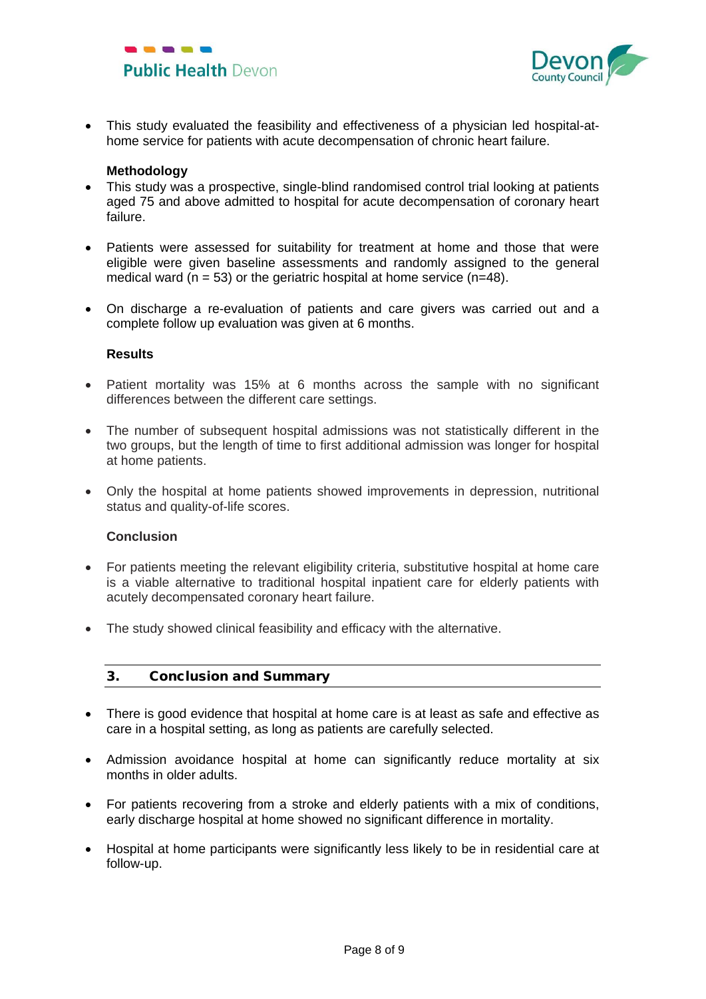



• This study evaluated the feasibility and effectiveness of a physician led hospital-athome service for patients with acute decompensation of chronic heart failure.

## **Methodology**

- This study was a prospective, single-blind randomised control trial looking at patients aged 75 and above admitted to hospital for acute decompensation of coronary heart failure.
- Patients were assessed for suitability for treatment at home and those that were eligible were given baseline assessments and randomly assigned to the general medical ward ( $n = 53$ ) or the geriatric hospital at home service ( $n=48$ ).
- On discharge a re-evaluation of patients and care givers was carried out and a complete follow up evaluation was given at 6 months.

#### **Results**

- Patient mortality was 15% at 6 months across the sample with no significant differences between the different care settings.
- The number of subsequent hospital admissions was not statistically different in the two groups, but the length of time to first additional admission was longer for hospital at home patients.
- Only the hospital at home patients showed improvements in depression, nutritional status and quality-of-life scores.

#### **Conclusion**

- For patients meeting the relevant eligibility criteria, substitutive hospital at home care is a viable alternative to traditional hospital inpatient care for elderly patients with acutely decompensated coronary heart failure.
- The study showed clinical feasibility and efficacy with the alternative.

# 3. Conclusion and Summary

- There is good evidence that hospital at home care is at least as safe and effective as care in a hospital setting, as long as patients are carefully selected.
- Admission avoidance hospital at home can significantly reduce mortality at six months in older adults.
- For patients recovering from a stroke and elderly patients with a mix of conditions, early discharge hospital at home showed no significant difference in mortality.
- Hospital at home participants were significantly less likely to be in residential care at follow-up.